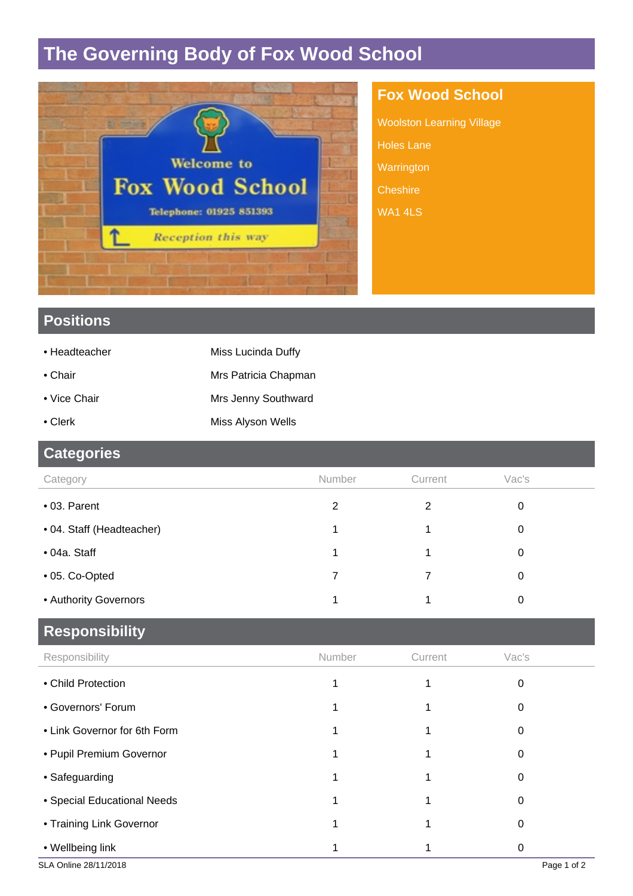# **The Governing Body of Fox Wood School**



#### **Fox Wood School**

Woolston Learning Village Holes Lane

Warrington

**Cheshire** 

WA1 4LS

#### **Positions**

- Headteacher Miss Lucinda Duffy
- Chair **Mrs Patricia Chapman**
- Vice Chair **Mrs Jenny Southward**
- Clerk **Miss Alyson Wells**

### **Categories**

| Category                  | Number | Current | Vac's |  |
|---------------------------|--------|---------|-------|--|
| • 03. Parent              | 2      | 2       | 0     |  |
| • 04. Staff (Headteacher) |        |         | 0     |  |
| $\bullet$ 04a. Staff      |        |         | 0     |  |
| • 05. Co-Opted            |        |         | 0     |  |
| • Authority Governors     |        |         |       |  |

### **Responsibility**

| Responsibility               | Number | Current | Vac's       |
|------------------------------|--------|---------|-------------|
| • Child Protection           |        |         | 0           |
| • Governors' Forum           |        |         | 0           |
| • Link Governor for 6th Form |        |         | 0           |
| • Pupil Premium Governor     |        |         | 0           |
| • Safeguarding               |        |         | 0           |
| • Special Educational Needs  |        |         | 0           |
| • Training Link Governor     |        |         | 0           |
| • Wellbeing link             |        |         | 0           |
| SLA Online 28/11/2018        |        |         | Page 1 of 2 |